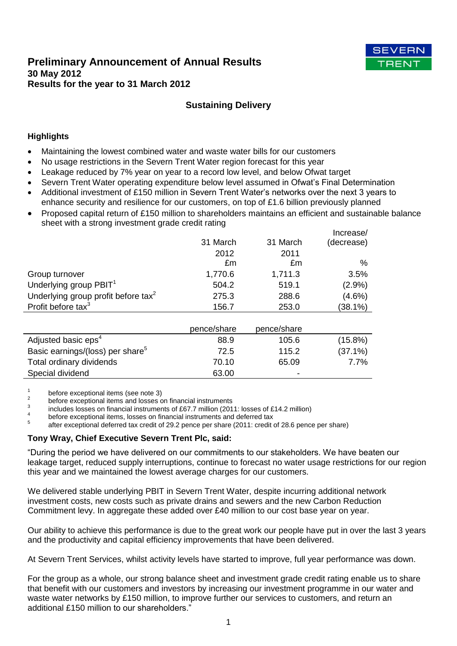# **Preliminary Announcement of Annual Results 30 May 2012 Results for the year to 31 March 2012**



# **Sustaining Delivery**

# **Highlights**

- Maintaining the lowest combined water and waste water bills for our customers
- No usage restrictions in the Severn Trent Water region forecast for this year
- Leakage reduced by 7% year on year to a record low level, and below Ofwat target
- Severn Trent Water operating expenditure below level assumed in Ofwat's Final Determination
- Additional investment of £150 million in Severn Trent Water's networks over the next 3 years to enhance security and resilience for our customers, on top of £1.6 billion previously planned
- Proposed capital return of £150 million to shareholders maintains an efficient and sustainable balance sheet with a strong investment grade credit rating

|                                                 |             |             | Increase/  |
|-------------------------------------------------|-------------|-------------|------------|
|                                                 | 31 March    | 31 March    | (decrease) |
|                                                 | 2012        | 2011        |            |
|                                                 | £m          | £m          | %          |
| Group turnover                                  | 1,770.6     | 1,711.3     | 3.5%       |
| Underlying group PBIT <sup>1</sup>              | 504.2       | 519.1       | (2.9%)     |
| Underlying group profit before tax <sup>2</sup> | 275.3       | 288.6       | $(4.6\%)$  |
| Profit before tax $3$                           | 156.7       | 253.0       | $(38.1\%)$ |
|                                                 |             |             |            |
|                                                 | pence/share | pence/share |            |
| Adjusted basic eps <sup>4</sup>                 | 88.9        | 105.6       | $(15.8\%)$ |
| Basic earnings/(loss) per share <sup>5</sup>    | 72.5        | 115.2       | $(37.1\%)$ |
| Total ordinary dividends                        | 70.10       | 65.09       | 7.7%       |
| Special dividend                                | 63.00       |             |            |

1 before exceptional items (see note 3)

2 before exceptional items and losses on financial instruments

3 includes losses on financial instruments of £67.7 million (2011: losses of £14.2 million) 4

before exceptional items, losses on financial instruments and deferred tax

5 after exceptional deferred tax credit of 29.2 pence per share (2011: credit of 28.6 pence per share)

#### **Tony Wray, Chief Executive Severn Trent Plc, said:**

"During the period we have delivered on our commitments to our stakeholders. We have beaten our leakage target, reduced supply interruptions, continue to forecast no water usage restrictions for our region this year and we maintained the lowest average charges for our customers.

We delivered stable underlying PBIT in Severn Trent Water, despite incurring additional network investment costs, new costs such as private drains and sewers and the new Carbon Reduction Commitment levy. In aggregate these added over £40 million to our cost base year on year.

Our ability to achieve this performance is due to the great work our people have put in over the last 3 years and the productivity and capital efficiency improvements that have been delivered.

At Severn Trent Services, whilst activity levels have started to improve, full year performance was down.

For the group as a whole, our strong balance sheet and investment grade credit rating enable us to share that benefit with our customers and investors by increasing our investment programme in our water and waste water networks by £150 million, to improve further our services to customers, and return an additional £150 million to our shareholders."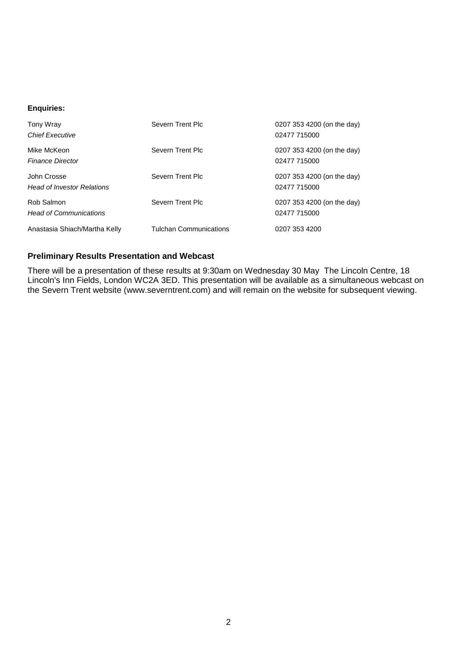#### **Enquiries:**

| Tony Wray<br><b>Chief Executive</b>              | Severn Trent Plc              | 0207 353 4200 (on the day)<br>02477 715000 |
|--------------------------------------------------|-------------------------------|--------------------------------------------|
| Mike McKeon<br><b>Finance Director</b>           | Severn Trent Plc              | 0207 353 4200 (on the day)<br>02477 715000 |
| John Crosse<br><b>Head of Investor Relations</b> | Severn Trent Plc              | 0207 353 4200 (on the day)<br>02477 715000 |
| Rob Salmon<br><b>Head of Communications</b>      | Severn Trent Plc              | 0207 353 4200 (on the day)<br>02477 715000 |
| Anastasia Shiach/Martha Kelly                    | <b>Tulchan Communications</b> | 0207 353 4200                              |

# **Preliminary Results Presentation and Webcast**

There will be a presentation of these results at 9:30am on Wednesday 30 May The Lincoln Centre, 18 Lincoln's Inn Fields, London WC2A 3ED. This presentation will be available as a simultaneous webcast on the Severn Trent website (www.severntrent.com) and will remain on the website for subsequent viewing.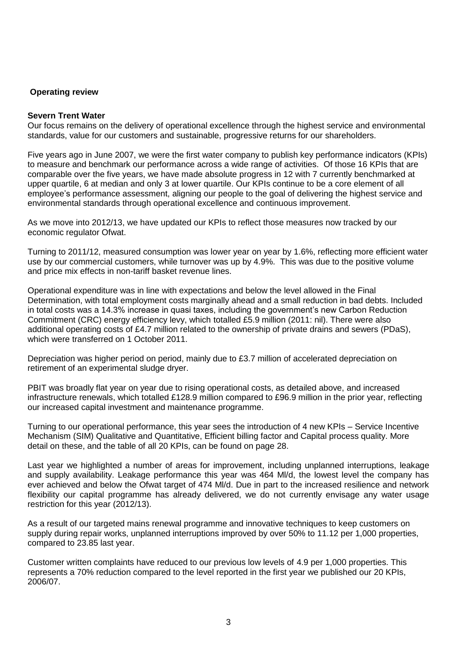### **Operating review**

#### **Severn Trent Water**

Our focus remains on the delivery of operational excellence through the highest service and environmental standards, value for our customers and sustainable, progressive returns for our shareholders.

Five years ago in June 2007, we were the first water company to publish key performance indicators (KPIs) to measure and benchmark our performance across a wide range of activities. Of those 16 KPIs that are comparable over the five years, we have made absolute progress in 12 with 7 currently benchmarked at upper quartile, 6 at median and only 3 at lower quartile. Our KPIs continue to be a core element of all employee's performance assessment, aligning our people to the goal of delivering the highest service and environmental standards through operational excellence and continuous improvement.

As we move into 2012/13, we have updated our KPIs to reflect those measures now tracked by our economic regulator Ofwat.

Turning to 2011/12, measured consumption was lower year on year by 1.6%, reflecting more efficient water use by our commercial customers, while turnover was up by 4.9%. This was due to the positive volume and price mix effects in non-tariff basket revenue lines.

Operational expenditure was in line with expectations and below the level allowed in the Final Determination, with total employment costs marginally ahead and a small reduction in bad debts. Included in total costs was a 14.3% increase in quasi taxes, including the government's new Carbon Reduction Commitment (CRC) energy efficiency levy, which totalled £5.9 million (2011: nil). There were also additional operating costs of £4.7 million related to the ownership of private drains and sewers (PDaS), which were transferred on 1 October 2011.

Depreciation was higher period on period, mainly due to £3.7 million of accelerated depreciation on retirement of an experimental sludge dryer.

PBIT was broadly flat year on year due to rising operational costs, as detailed above, and increased infrastructure renewals, which totalled £128.9 million compared to £96.9 million in the prior year, reflecting our increased capital investment and maintenance programme.

Turning to our operational performance, this year sees the introduction of 4 new KPIs – Service Incentive Mechanism (SIM) Qualitative and Quantitative, Efficient billing factor and Capital process quality. More detail on these, and the table of all 20 KPIs, can be found on page 28.

Last year we highlighted a number of areas for improvement, including unplanned interruptions, leakage and supply availability. Leakage performance this year was 464 Ml/d, the lowest level the company has ever achieved and below the Ofwat target of 474 Ml/d. Due in part to the increased resilience and network flexibility our capital programme has already delivered, we do not currently envisage any water usage restriction for this year (2012/13).

As a result of our targeted mains renewal programme and innovative techniques to keep customers on supply during repair works, unplanned interruptions improved by over 50% to 11.12 per 1,000 properties, compared to 23.85 last year.

Customer written complaints have reduced to our previous low levels of 4.9 per 1,000 properties. This represents a 70% reduction compared to the level reported in the first year we published our 20 KPIs, 2006/07.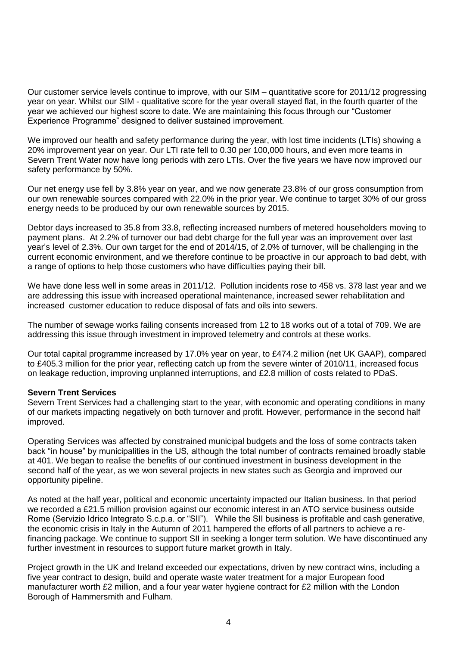Our customer service levels continue to improve, with our SIM – quantitative score for 2011/12 progressing year on year. Whilst our SIM - qualitative score for the year overall stayed flat, in the fourth quarter of the year we achieved our highest score to date. We are maintaining this focus through our "Customer Experience Programme" designed to deliver sustained improvement.

We improved our health and safety performance during the year, with lost time incidents (LTIs) showing a 20% improvement year on year. Our LTI rate fell to 0.30 per 100,000 hours, and even more teams in Severn Trent Water now have long periods with zero LTIs. Over the five years we have now improved our safety performance by 50%.

Our net energy use fell by 3.8% year on year, and we now generate 23.8% of our gross consumption from our own renewable sources compared with 22.0% in the prior year. We continue to target 30% of our gross energy needs to be produced by our own renewable sources by 2015.

Debtor days increased to 35.8 from 33.8, reflecting increased numbers of metered householders moving to payment plans. At 2.2% of turnover our bad debt charge for the full year was an improvement over last year's level of 2.3%. Our own target for the end of 2014/15, of 2.0% of turnover, will be challenging in the current economic environment, and we therefore continue to be proactive in our approach to bad debt, with a range of options to help those customers who have difficulties paying their bill.

We have done less well in some areas in 2011/12. Pollution incidents rose to 458 vs. 378 last year and we are addressing this issue with increased operational maintenance, increased sewer rehabilitation and increased customer education to reduce disposal of fats and oils into sewers.

The number of sewage works failing consents increased from 12 to 18 works out of a total of 709. We are addressing this issue through investment in improved telemetry and controls at these works.

Our total capital programme increased by 17.0% year on year, to £474.2 million (net UK GAAP), compared to £405.3 million for the prior year, reflecting catch up from the severe winter of 2010/11, increased focus on leakage reduction, improving unplanned interruptions, and £2.8 million of costs related to PDaS.

# **Severn Trent Services**

Severn Trent Services had a challenging start to the year, with economic and operating conditions in many of our markets impacting negatively on both turnover and profit. However, performance in the second half improved.

Operating Services was affected by constrained municipal budgets and the loss of some contracts taken back "in house" by municipalities in the US, although the total number of contracts remained broadly stable at 401. We began to realise the benefits of our continued investment in business development in the second half of the year, as we won several projects in new states such as Georgia and improved our opportunity pipeline.

As noted at the half year, political and economic uncertainty impacted our Italian business. In that period we recorded a £21.5 million provision against our economic interest in an ATO service business outside Rome (Servizio Idrico Integrato S.c.p.a. or "SII"). While the SII business is profitable and cash generative, the economic crisis in Italy in the Autumn of 2011 hampered the efforts of all partners to achieve a refinancing package. We continue to support SII in seeking a longer term solution. We have discontinued any further investment in resources to support future market growth in Italy.

Project growth in the UK and Ireland exceeded our expectations, driven by new contract wins, including a five year contract to design, build and operate waste water treatment for a major European food manufacturer worth £2 million, and a four year water hygiene contract for £2 million with the London Borough of Hammersmith and Fulham.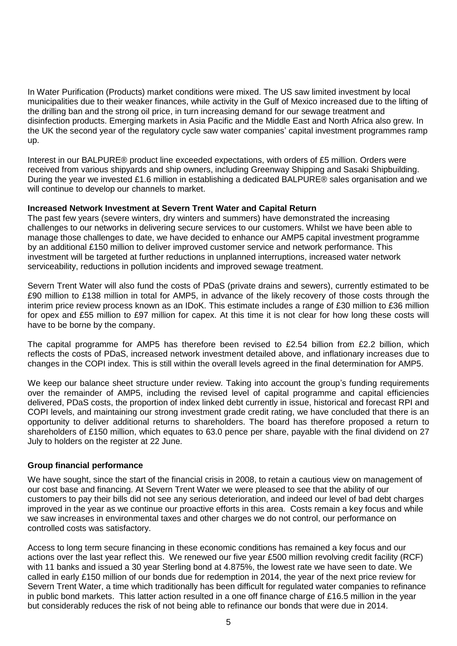In Water Purification (Products) market conditions were mixed. The US saw limited investment by local municipalities due to their weaker finances, while activity in the Gulf of Mexico increased due to the lifting of the drilling ban and the strong oil price, in turn increasing demand for our sewage treatment and disinfection products. Emerging markets in Asia Pacific and the Middle East and North Africa also grew. In the UK the second year of the regulatory cycle saw water companies' capital investment programmes ramp up.

Interest in our BALPURE® product line exceeded expectations, with orders of £5 million. Orders were received from various shipyards and ship owners, including Greenway Shipping and Sasaki Shipbuilding. During the year we invested £1.6 million in establishing a dedicated BALPURE® sales organisation and we will continue to develop our channels to market.

# **Increased Network Investment at Severn Trent Water and Capital Return**

The past few years (severe winters, dry winters and summers) have demonstrated the increasing challenges to our networks in delivering secure services to our customers. Whilst we have been able to manage those challenges to date, we have decided to enhance our AMP5 capital investment programme by an additional £150 million to deliver improved customer service and network performance. This investment will be targeted at further reductions in unplanned interruptions, increased water network serviceability, reductions in pollution incidents and improved sewage treatment.

Severn Trent Water will also fund the costs of PDaS (private drains and sewers), currently estimated to be £90 million to £138 million in total for AMP5, in advance of the likely recovery of those costs through the interim price review process known as an IDoK. This estimate includes a range of £30 million to £36 million for opex and £55 million to £97 million for capex. At this time it is not clear for how long these costs will have to be borne by the company.

The capital programme for AMP5 has therefore been revised to £2.54 billion from £2.2 billion, which reflects the costs of PDaS, increased network investment detailed above, and inflationary increases due to changes in the COPI index. This is still within the overall levels agreed in the final determination for AMP5.

We keep our balance sheet structure under review. Taking into account the group's funding requirements over the remainder of AMP5, including the revised level of capital programme and capital efficiencies delivered, PDaS costs, the proportion of index linked debt currently in issue, historical and forecast RPI and COPI levels, and maintaining our strong investment grade credit rating, we have concluded that there is an opportunity to deliver additional returns to shareholders. The board has therefore proposed a return to shareholders of £150 million, which equates to 63.0 pence per share, payable with the final dividend on 27 July to holders on the register at 22 June.

# **Group financial performance**

We have sought, since the start of the financial crisis in 2008, to retain a cautious view on management of our cost base and financing. At Severn Trent Water we were pleased to see that the ability of our customers to pay their bills did not see any serious deterioration, and indeed our level of bad debt charges improved in the year as we continue our proactive efforts in this area. Costs remain a key focus and while we saw increases in environmental taxes and other charges we do not control, our performance on controlled costs was satisfactory.

Access to long term secure financing in these economic conditions has remained a key focus and our actions over the last year reflect this. We renewed our five year £500 million revolving credit facility (RCF) with 11 banks and issued a 30 year Sterling bond at 4.875%, the lowest rate we have seen to date. We called in early £150 million of our bonds due for redemption in 2014, the year of the next price review for Severn Trent Water, a time which traditionally has been difficult for regulated water companies to refinance in public bond markets. This latter action resulted in a one off finance charge of £16.5 million in the year but considerably reduces the risk of not being able to refinance our bonds that were due in 2014.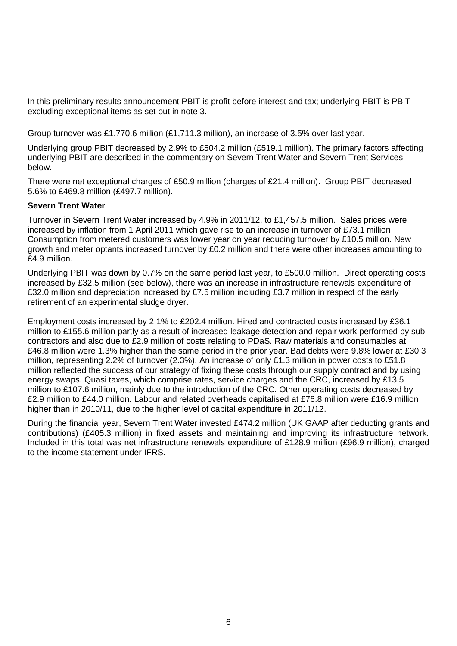In this preliminary results announcement PBIT is profit before interest and tax; underlying PBIT is PBIT excluding exceptional items as set out in note 3.

Group turnover was £1,770.6 million (£1,711.3 million), an increase of 3.5% over last year.

Underlying group PBIT decreased by 2.9% to £504.2 million (£519.1 million). The primary factors affecting underlying PBIT are described in the commentary on Severn Trent Water and Severn Trent Services below.

There were net exceptional charges of £50.9 million (charges of £21.4 million). Group PBIT decreased 5.6% to £469.8 million (£497.7 million).

#### **Severn Trent Water**

Turnover in Severn Trent Water increased by 4.9% in 2011/12, to £1,457.5 million. Sales prices were increased by inflation from 1 April 2011 which gave rise to an increase in turnover of £73.1 million. Consumption from metered customers was lower year on year reducing turnover by £10.5 million. New growth and meter optants increased turnover by £0.2 million and there were other increases amounting to £4.9 million.

Underlying PBIT was down by 0.7% on the same period last year, to £500.0 million. Direct operating costs increased by £32.5 million (see below), there was an increase in infrastructure renewals expenditure of £32.0 million and depreciation increased by £7.5 million including £3.7 million in respect of the early retirement of an experimental sludge dryer.

Employment costs increased by 2.1% to £202.4 million. Hired and contracted costs increased by £36.1 million to £155.6 million partly as a result of increased leakage detection and repair work performed by subcontractors and also due to £2.9 million of costs relating to PDaS. Raw materials and consumables at £46.8 million were 1.3% higher than the same period in the prior year. Bad debts were 9.8% lower at £30.3 million, representing 2.2% of turnover (2.3%). An increase of only £1.3 million in power costs to £51.8 million reflected the success of our strategy of fixing these costs through our supply contract and by using energy swaps. Quasi taxes, which comprise rates, service charges and the CRC, increased by £13.5 million to £107.6 million, mainly due to the introduction of the CRC. Other operating costs decreased by £2.9 million to £44.0 million. Labour and related overheads capitalised at £76.8 million were £16.9 million higher than in 2010/11, due to the higher level of capital expenditure in 2011/12.

During the financial year, Severn Trent Water invested £474.2 million (UK GAAP after deducting grants and contributions) (£405.3 million) in fixed assets and maintaining and improving its infrastructure network. Included in this total was net infrastructure renewals expenditure of £128.9 million (£96.9 million), charged to the income statement under IFRS.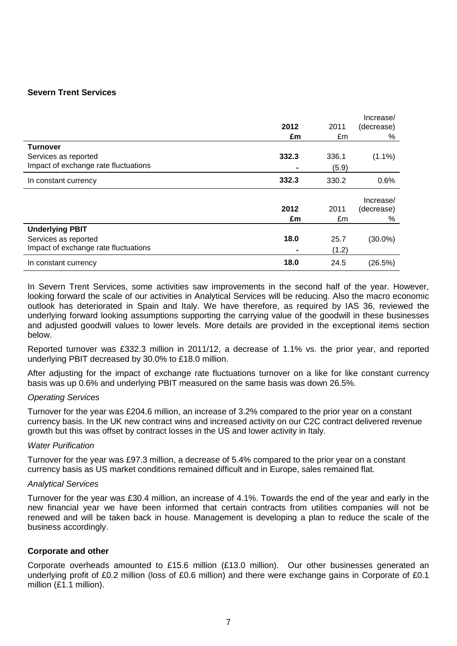# **Severn Trent Services**

|                                      |       |       | Increase/  |
|--------------------------------------|-------|-------|------------|
|                                      | 2012  | 2011  | (decrease) |
|                                      | £m    | £m    | %          |
| <b>Turnover</b>                      |       |       |            |
| Services as reported                 | 332.3 | 336.1 | $(1.1\%)$  |
| Impact of exchange rate fluctuations |       | (5.9) |            |
| In constant currency                 | 332.3 | 330.2 | 0.6%       |
|                                      |       |       | Increase/  |
|                                      | 2012  | 2011  | (decrease) |
|                                      |       |       |            |
|                                      | £m    | £m    | %          |
| <b>Underlying PBIT</b>               |       |       |            |
| Services as reported                 | 18.0  | 25.7  | $(30.0\%)$ |
| Impact of exchange rate fluctuations |       | (1.2) |            |

In Severn Trent Services, some activities saw improvements in the second half of the year. However, looking forward the scale of our activities in Analytical Services will be reducing. Also the macro economic outlook has deteriorated in Spain and Italy. We have therefore, as required by IAS 36, reviewed the underlying forward looking assumptions supporting the carrying value of the goodwill in these businesses and adjusted goodwill values to lower levels. More details are provided in the exceptional items section below.

Reported turnover was £332.3 million in 2011/12, a decrease of 1.1% vs. the prior year, and reported underlying PBIT decreased by 30.0% to £18.0 million.

After adjusting for the impact of exchange rate fluctuations turnover on a like for like constant currency basis was up 0.6% and underlying PBIT measured on the same basis was down 26.5%.

#### *Operating Services*

Turnover for the year was £204.6 million, an increase of 3.2% compared to the prior year on a constant currency basis. In the UK new contract wins and increased activity on our C2C contract delivered revenue growth but this was offset by contract losses in the US and lower activity in Italy.

#### *Water Purification*

Turnover for the year was £97.3 million, a decrease of 5.4% compared to the prior year on a constant currency basis as US market conditions remained difficult and in Europe, sales remained flat.

#### *Analytical Services*

Turnover for the year was £30.4 million, an increase of 4.1%. Towards the end of the year and early in the new financial year we have been informed that certain contracts from utilities companies will not be renewed and will be taken back in house. Management is developing a plan to reduce the scale of the business accordingly.

# **Corporate and other**

Corporate overheads amounted to £15.6 million (£13.0 million). Our other businesses generated an underlying profit of £0.2 million (loss of £0.6 million) and there were exchange gains in Corporate of £0.1 million (£1.1 million).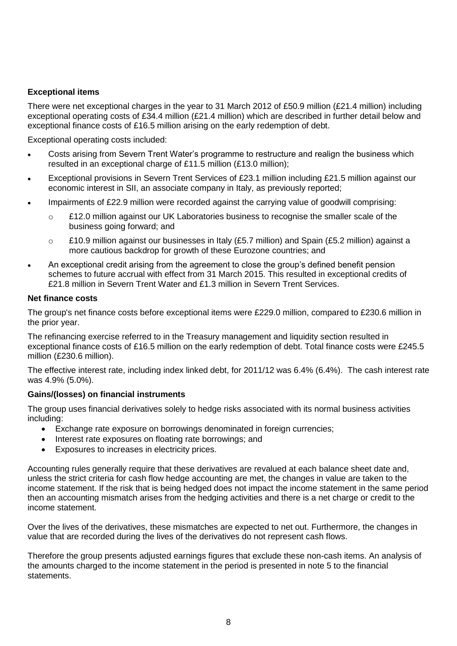# **Exceptional items**

There were net exceptional charges in the year to 31 March 2012 of £50.9 million (£21.4 million) including exceptional operating costs of £34.4 million (£21.4 million) which are described in further detail below and exceptional finance costs of £16.5 million arising on the early redemption of debt.

Exceptional operating costs included:

- Costs arising from Severn Trent Water's programme to restructure and realign the business which resulted in an exceptional charge of £11.5 million (£13.0 million);
- Exceptional provisions in Severn Trent Services of £23.1 million including £21.5 million against our economic interest in SII, an associate company in Italy, as previously reported;
- Impairments of £22.9 million were recorded against the carrying value of goodwill comprising:
	- $\circ$  £12.0 million against our UK Laboratories business to recognise the smaller scale of the business going forward; and
	- $\circ$  £10.9 million against our businesses in Italy (£5.7 million) and Spain (£5.2 million) against a more cautious backdrop for growth of these Eurozone countries; and
- An exceptional credit arising from the agreement to close the group's defined benefit pension schemes to future accrual with effect from 31 March 2015. This resulted in exceptional credits of £21.8 million in Severn Trent Water and £1.3 million in Severn Trent Services.

#### **Net finance costs**

The group's net finance costs before exceptional items were £229.0 million, compared to £230.6 million in the prior year.

The refinancing exercise referred to in the Treasury management and liquidity section resulted in exceptional finance costs of £16.5 million on the early redemption of debt. Total finance costs were £245.5 million (£230.6 million).

The effective interest rate, including index linked debt, for 2011/12 was 6.4% (6.4%). The cash interest rate was 4.9% (5.0%).

# **Gains/(losses) on financial instruments**

The group uses financial derivatives solely to hedge risks associated with its normal business activities including:

- Exchange rate exposure on borrowings denominated in foreign currencies;
- Interest rate exposures on floating rate borrowings; and
- Exposures to increases in electricity prices.

Accounting rules generally require that these derivatives are revalued at each balance sheet date and, unless the strict criteria for cash flow hedge accounting are met, the changes in value are taken to the income statement. If the risk that is being hedged does not impact the income statement in the same period then an accounting mismatch arises from the hedging activities and there is a net charge or credit to the income statement.

Over the lives of the derivatives, these mismatches are expected to net out. Furthermore, the changes in value that are recorded during the lives of the derivatives do not represent cash flows.

Therefore the group presents adjusted earnings figures that exclude these non-cash items. An analysis of the amounts charged to the income statement in the period is presented in note 5 to the financial statements.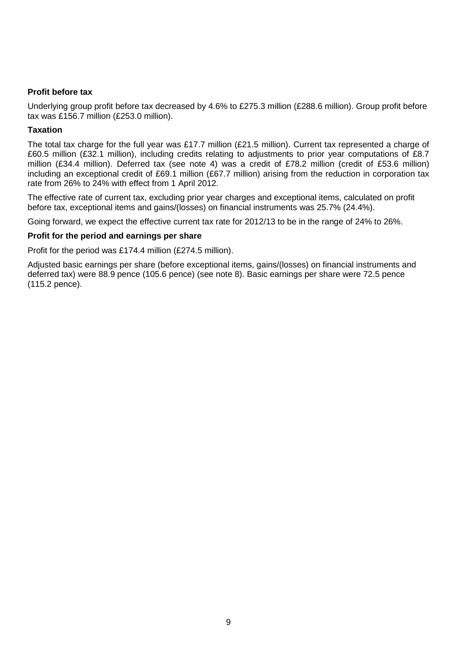# **Profit before tax**

Underlying group profit before tax decreased by 4.6% to £275.3 million (£288.6 million). Group profit before tax was £156.7 million (£253.0 million).

#### **Taxation**

The total tax charge for the full year was £17.7 million (£21.5 million). Current tax represented a charge of £60.5 million (£32.1 million), including credits relating to adjustments to prior year computations of £8.7 million (£34.4 million). Deferred tax (see note 4) was a credit of £78.2 million (credit of £53.6 million) including an exceptional credit of £69.1 million (£67.7 million) arising from the reduction in corporation tax rate from 26% to 24% with effect from 1 April 2012.

The effective rate of current tax, excluding prior year charges and exceptional items, calculated on profit before tax, exceptional items and gains/(losses) on financial instruments was 25.7% (24.4%).

Going forward, we expect the effective current tax rate for 2012/13 to be in the range of 24% to 26%.

#### **Profit for the period and earnings per share**

Profit for the period was £174.4 million (£274.5 million).

Adjusted basic earnings per share (before exceptional items, gains/(losses) on financial instruments and deferred tax) were 88.9 pence (105.6 pence) (see note 8). Basic earnings per share were 72.5 pence (115.2 pence).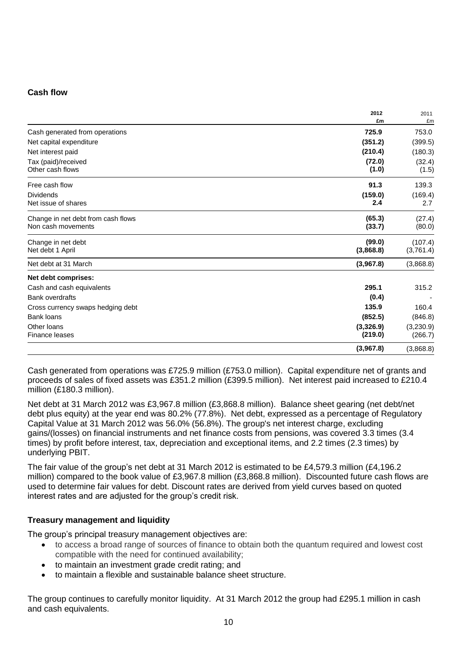# **Cash flow**

|                                                          | 2012<br>£m           | 2011<br>£m           |
|----------------------------------------------------------|----------------------|----------------------|
| Cash generated from operations                           | 725.9                | 753.0                |
| Net capital expenditure                                  | (351.2)              | (399.5)              |
| Net interest paid                                        | (210.4)              | (180.3)              |
| Tax (paid)/received<br>Other cash flows                  | (72.0)<br>(1.0)      | (32.4)<br>(1.5)      |
| Free cash flow                                           | 91.3                 | 139.3                |
| <b>Dividends</b><br>Net issue of shares                  | (159.0)<br>2.4       | (169.4)<br>2.7       |
| Change in net debt from cash flows<br>Non cash movements | (65.3)<br>(33.7)     | (27.4)<br>(80.0)     |
| Change in net debt<br>Net debt 1 April                   | (99.0)<br>(3,868.8)  | (107.4)<br>(3,761.4) |
| Net debt at 31 March                                     | (3,967.8)            | (3,868.8)            |
| Net debt comprises:                                      |                      |                      |
| Cash and cash equivalents                                | 295.1                | 315.2                |
| <b>Bank overdrafts</b>                                   | (0.4)                |                      |
| Cross currency swaps hedging debt                        | 135.9                | 160.4                |
| <b>Bank loans</b>                                        | (852.5)              | (846.8)              |
| Other loans<br><b>Finance leases</b>                     | (3,326.9)<br>(219.0) | (3,230.9)<br>(266.7) |
|                                                          | (3,967.8)            | (3,868.8)            |

Cash generated from operations was £725.9 million (£753.0 million). Capital expenditure net of grants and proceeds of sales of fixed assets was £351.2 million (£399.5 million). Net interest paid increased to £210.4 million (£180.3 million).

Net debt at 31 March 2012 was £3,967.8 million (£3,868.8 million). Balance sheet gearing (net debt/net debt plus equity) at the year end was 80.2% (77.8%). Net debt, expressed as a percentage of Regulatory Capital Value at 31 March 2012 was 56.0% (56.8%). The group's net interest charge, excluding gains/(losses) on financial instruments and net finance costs from pensions, was covered 3.3 times (3.4 times) by profit before interest, tax, depreciation and exceptional items, and 2.2 times (2.3 times) by underlying PBIT.

The fair value of the group's net debt at 31 March 2012 is estimated to be £4,579.3 million (£4,196.2 million) compared to the book value of £3,967.8 million (£3,868.8 million). Discounted future cash flows are used to determine fair values for debt. Discount rates are derived from yield curves based on quoted interest rates and are adjusted for the group's credit risk.

# **Treasury management and liquidity**

The group's principal treasury management objectives are:

- to access a broad range of sources of finance to obtain both the quantum required and lowest cost compatible with the need for continued availability;
- to maintain an investment grade credit rating; and
- to maintain a flexible and sustainable balance sheet structure.

The group continues to carefully monitor liquidity. At 31 March 2012 the group had £295.1 million in cash and cash equivalents.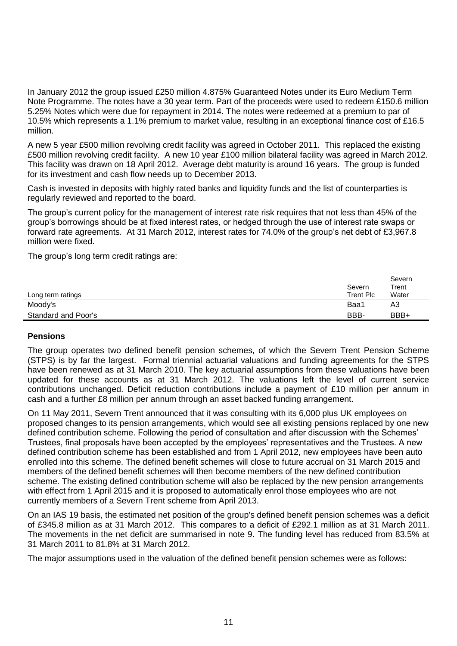In January 2012 the group issued £250 million 4.875% Guaranteed Notes under its Euro Medium Term Note Programme. The notes have a 30 year term. Part of the proceeds were used to redeem £150.6 million 5.25% Notes which were due for repayment in 2014. The notes were redeemed at a premium to par of 10.5% which represents a 1.1% premium to market value, resulting in an exceptional finance cost of £16.5 million.

A new 5 year £500 million revolving credit facility was agreed in October 2011. This replaced the existing £500 million revolving credit facility. A new 10 year £100 million bilateral facility was agreed in March 2012. This facility was drawn on 18 April 2012. Average debt maturity is around 16 years. The group is funded for its investment and cash flow needs up to December 2013.

Cash is invested in deposits with highly rated banks and liquidity funds and the list of counterparties is regularly reviewed and reported to the board.

The group's current policy for the management of interest rate risk requires that not less than 45% of the group's borrowings should be at fixed interest rates, or hedged through the use of interest rate swaps or forward rate agreements. At 31 March 2012, interest rates for 74.0% of the group's net debt of £3,967.8 million were fixed.

The group's long term credit ratings are:

|                     | Severn    | Severn<br>Trent |
|---------------------|-----------|-----------------|
| Long term ratings   | Trent Plc | Water           |
| Moody's             | Baa1      | A3              |
| Standard and Poor's | BBB-      | BBB+            |

# **Pensions**

The group operates two defined benefit pension schemes, of which the Severn Trent Pension Scheme (STPS) is by far the largest. Formal triennial actuarial valuations and funding agreements for the STPS have been renewed as at 31 March 2010. The key actuarial assumptions from these valuations have been updated for these accounts as at 31 March 2012. The valuations left the level of current service contributions unchanged. Deficit reduction contributions include a payment of £10 million per annum in cash and a further £8 million per annum through an asset backed funding arrangement.

On 11 May 2011, Severn Trent announced that it was consulting with its 6,000 plus UK employees on proposed changes to its pension arrangements, which would see all existing pensions replaced by one new defined contribution scheme. Following the period of consultation and after discussion with the Schemes' Trustees, final proposals have been accepted by the employees' representatives and the Trustees. A new defined contribution scheme has been established and from 1 April 2012, new employees have been auto enrolled into this scheme. The defined benefit schemes will close to future accrual on 31 March 2015 and members of the defined benefit schemes will then become members of the new defined contribution scheme. The existing defined contribution scheme will also be replaced by the new pension arrangements with effect from 1 April 2015 and it is proposed to automatically enrol those employees who are not currently members of a Severn Trent scheme from April 2013.

On an IAS 19 basis, the estimated net position of the group's defined benefit pension schemes was a deficit of £345.8 million as at 31 March 2012. This compares to a deficit of £292.1 million as at 31 March 2011. The movements in the net deficit are summarised in note 9. The funding level has reduced from 83.5% at 31 March 2011 to 81.8% at 31 March 2012.

The major assumptions used in the valuation of the defined benefit pension schemes were as follows: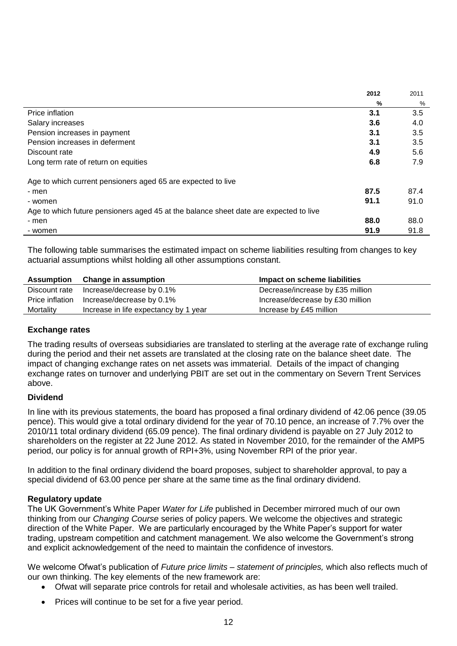|                                                                                       | 2012 | 2011 |
|---------------------------------------------------------------------------------------|------|------|
|                                                                                       | %    | %    |
| Price inflation                                                                       | 3.1  | 3.5  |
| Salary increases                                                                      | 3.6  | 4.0  |
| Pension increases in payment                                                          | 3.1  | 3.5  |
| Pension increases in deferment                                                        | 3.1  | 3.5  |
| Discount rate                                                                         | 4.9  | 5.6  |
| Long term rate of return on equities                                                  | 6.8  | 7.9  |
| Age to which current pensioners aged 65 are expected to live                          |      |      |
| - men                                                                                 | 87.5 | 87.4 |
| - women                                                                               | 91.1 | 91.0 |
| Age to which future pensioners aged 45 at the balance sheet date are expected to live |      |      |
| - men                                                                                 | 88.0 | 88.0 |
| - women                                                                               | 91.9 | 91.8 |

The following table summarises the estimated impact on scheme liabilities resulting from changes to key actuarial assumptions whilst holding all other assumptions constant.

| Assumption      | <b>Change in assumption</b>           | Impact on scheme liabilities     |
|-----------------|---------------------------------------|----------------------------------|
| Discount rate   | Increase/decrease by 0.1%             | Decrease/increase by £35 million |
| Price inflation | Increase/decrease by 0.1%             | Increase/decrease by £30 million |
| Mortality       | Increase in life expectancy by 1 year | Increase by £45 million          |

# **Exchange rates**

The trading results of overseas subsidiaries are translated to sterling at the average rate of exchange ruling during the period and their net assets are translated at the closing rate on the balance sheet date. The impact of changing exchange rates on net assets was immaterial. Details of the impact of changing exchange rates on turnover and underlying PBIT are set out in the commentary on Severn Trent Services above.

# **Dividend**

In line with its previous statements, the board has proposed a final ordinary dividend of 42.06 pence (39.05 pence). This would give a total ordinary dividend for the year of 70.10 pence, an increase of 7.7% over the 2010/11 total ordinary dividend (65.09 pence). The final ordinary dividend is payable on 27 July 2012 to shareholders on the register at 22 June 2012. As stated in November 2010, for the remainder of the AMP5 period, our policy is for annual growth of RPI+3%, using November RPI of the prior year.

In addition to the final ordinary dividend the board proposes, subject to shareholder approval, to pay a special dividend of 63.00 pence per share at the same time as the final ordinary dividend.

# **Regulatory update**

The UK Government's White Paper *Water for Life* published in December mirrored much of our own thinking from our *Changing Course* series of policy papers. We welcome the objectives and strategic direction of the White Paper. We are particularly encouraged by the White Paper's support for water trading, upstream competition and catchment management. We also welcome the Government's strong and explicit acknowledgement of the need to maintain the confidence of investors.

We welcome Ofwat's publication of *Future price limits – statement of principles,* which also reflects much of our own thinking. The key elements of the new framework are:

- Ofwat will separate price controls for retail and wholesale activities, as has been well trailed.
- Prices will continue to be set for a five year period.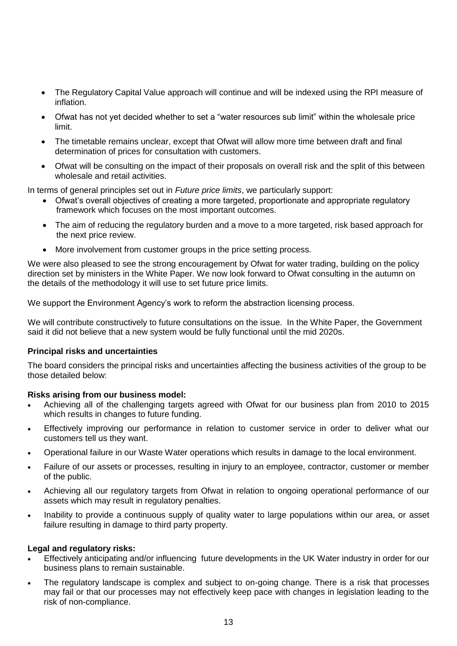- The Regulatory Capital Value approach will continue and will be indexed using the RPI measure of inflation.
- Ofwat has not yet decided whether to set a "water resources sub limit" within the wholesale price limit.
- The timetable remains unclear, except that Ofwat will allow more time between draft and final determination of prices for consultation with customers.
- Ofwat will be consulting on the impact of their proposals on overall risk and the split of this between wholesale and retail activities.

In terms of general principles set out in *Future price limits*, we particularly support:

- Ofwat's overall objectives of creating a more targeted, proportionate and appropriate regulatory framework which focuses on the most important outcomes.
- The aim of reducing the regulatory burden and a move to a more targeted, risk based approach for the next price review.
- More involvement from customer groups in the price setting process.

We were also pleased to see the strong encouragement by Ofwat for water trading, building on the policy direction set by ministers in the White Paper. We now look forward to Ofwat consulting in the autumn on the details of the methodology it will use to set future price limits.

We support the Environment Agency's work to reform the abstraction licensing process.

We will contribute constructively to future consultations on the issue. In the White Paper, the Government said it did not believe that a new system would be fully functional until the mid 2020s.

# **Principal risks and uncertainties**

The board considers the principal risks and uncertainties affecting the business activities of the group to be those detailed below:

# **Risks arising from our business model:**

- Achieving all of the challenging targets agreed with Ofwat for our business plan from 2010 to 2015 which results in changes to future funding.
- Effectively improving our performance in relation to customer service in order to deliver what our customers tell us they want.
- Operational failure in our Waste Water operations which results in damage to the local environment.
- Failure of our assets or processes, resulting in injury to an employee, contractor, customer or member of the public.
- Achieving all our regulatory targets from Ofwat in relation to ongoing operational performance of our assets which may result in regulatory penalties.
- Inability to provide a continuous supply of quality water to large populations within our area, or asset failure resulting in damage to third party property.

# **Legal and regulatory risks:**

- Effectively anticipating and/or influencing future developments in the UK Water industry in order for our business plans to remain sustainable.
- The regulatory landscape is complex and subject to on-going change. There is a risk that processes may fail or that our processes may not effectively keep pace with changes in legislation leading to the risk of non-compliance.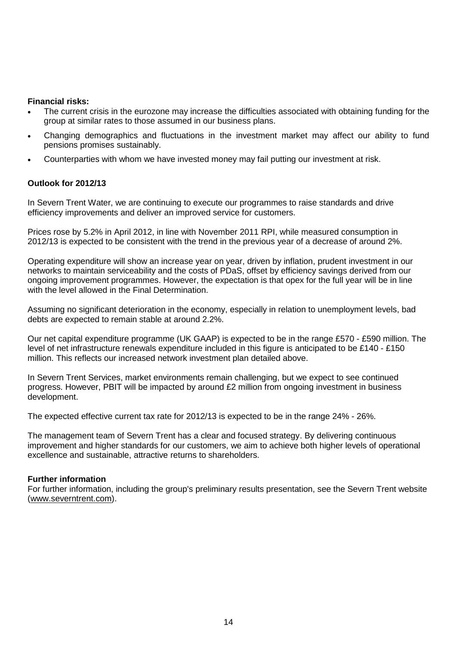### **Financial risks:**

- The current crisis in the eurozone may increase the difficulties associated with obtaining funding for the group at similar rates to those assumed in our business plans.
- Changing demographics and fluctuations in the investment market may affect our ability to fund pensions promises sustainably.
- Counterparties with whom we have invested money may fail putting our investment at risk.

# **Outlook for 2012/13**

In Severn Trent Water, we are continuing to execute our programmes to raise standards and drive efficiency improvements and deliver an improved service for customers.

Prices rose by 5.2% in April 2012, in line with November 2011 RPI, while measured consumption in 2012/13 is expected to be consistent with the trend in the previous year of a decrease of around 2%.

Operating expenditure will show an increase year on year, driven by inflation, prudent investment in our networks to maintain serviceability and the costs of PDaS, offset by efficiency savings derived from our ongoing improvement programmes. However, the expectation is that opex for the full year will be in line with the level allowed in the Final Determination.

Assuming no significant deterioration in the economy, especially in relation to unemployment levels, bad debts are expected to remain stable at around 2.2%.

Our net capital expenditure programme (UK GAAP) is expected to be in the range £570 - £590 million. The level of net infrastructure renewals expenditure included in this figure is anticipated to be £140 - £150 million. This reflects our increased network investment plan detailed above.

In Severn Trent Services, market environments remain challenging, but we expect to see continued progress. However, PBIT will be impacted by around £2 million from ongoing investment in business development.

The expected effective current tax rate for 2012/13 is expected to be in the range 24% - 26%.

The management team of Severn Trent has a clear and focused strategy. By delivering continuous improvement and higher standards for our customers, we aim to achieve both higher levels of operational excellence and sustainable, attractive returns to shareholders.

#### **Further information**

For further information, including the group's preliminary results presentation, see the Severn Trent website (www.severntrent.com).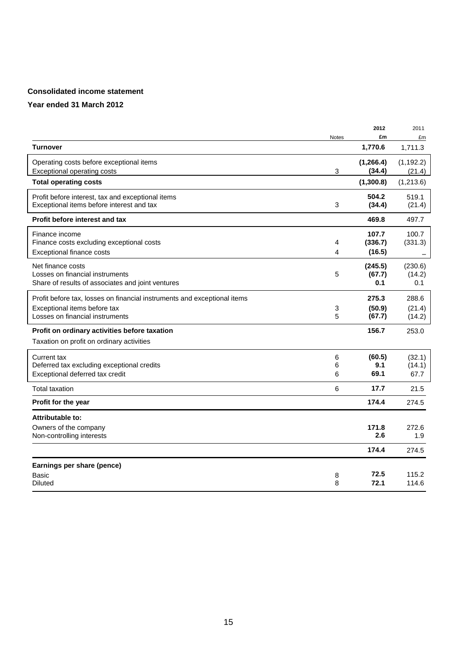## **Consolidated income statement**

|                                                                          |              | 2012       | 2011       |
|--------------------------------------------------------------------------|--------------|------------|------------|
|                                                                          | <b>Notes</b> | £m         | £m         |
| <b>Turnover</b>                                                          |              | 1,770.6    | 1,711.3    |
| Operating costs before exceptional items                                 |              | (1, 266.4) | (1, 192.2) |
| Exceptional operating costs                                              | 3            | (34.4)     | (21.4)     |
| <b>Total operating costs</b>                                             |              | (1,300.8)  | (1,213.6)  |
| Profit before interest, tax and exceptional items                        |              | 504.2      | 519.1      |
| Exceptional items before interest and tax                                | 3            | (34.4)     | (21.4)     |
| <b>Profit before interest and tax</b>                                    |              | 469.8      | 497.7      |
| Finance income                                                           |              | 107.7      | 100.7      |
| Finance costs excluding exceptional costs                                | 4            | (336.7)    | (331.3)    |
| Exceptional finance costs                                                | 4            | (16.5)     |            |
| Net finance costs                                                        |              | (245.5)    | (230.6)    |
| Losses on financial instruments                                          | 5            | (67.7)     | (14.2)     |
| Share of results of associates and joint ventures                        |              | 0.1        | 0.1        |
| Profit before tax, losses on financial instruments and exceptional items |              | 275.3      | 288.6      |
| Exceptional items before tax                                             | 3            | (50.9)     | (21.4)     |
| Losses on financial instruments                                          | 5            | (67.7)     | (14.2)     |
| Profit on ordinary activities before taxation                            |              | 156.7      | 253.0      |
| Taxation on profit on ordinary activities                                |              |            |            |
| Current tax                                                              | 6            | (60.5)     | (32.1)     |
| Deferred tax excluding exceptional credits                               | 6            | 9.1        | (14.1)     |
| Exceptional deferred tax credit                                          | 6            | 69.1       | 67.7       |
| <b>Total taxation</b>                                                    | 6            | 17.7       | 21.5       |
| Profit for the year                                                      |              | 174.4      | 274.5      |
| Attributable to:                                                         |              |            |            |
| Owners of the company                                                    |              | 171.8      | 272.6      |
| Non-controlling interests                                                |              | 2.6        | 1.9        |
|                                                                          |              | 174.4      | 274.5      |
| Earnings per share (pence)                                               |              |            |            |
| Basic                                                                    | 8            | 72.5       | 115.2      |
| <b>Diluted</b>                                                           | 8            | 72.1       | 114.6      |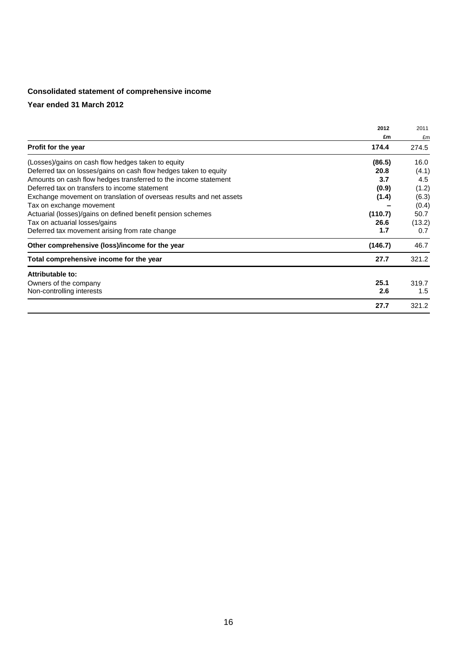#### **Consolidated statement of comprehensive income**

|                                                                     | 2012    | 2011   |
|---------------------------------------------------------------------|---------|--------|
|                                                                     | £m      | £m     |
| Profit for the year                                                 | 174.4   | 274.5  |
| (Losses)/gains on cash flow hedges taken to equity                  | (86.5)  | 16.0   |
| Deferred tax on losses/gains on cash flow hedges taken to equity    | 20.8    | (4.1)  |
| Amounts on cash flow hedges transferred to the income statement     | 3.7     | 4.5    |
| Deferred tax on transfers to income statement                       | (0.9)   | (1.2)  |
| Exchange movement on translation of overseas results and net assets | (1.4)   | (6.3)  |
| Tax on exchange movement                                            |         | (0.4)  |
| Actuarial (losses)/gains on defined benefit pension schemes         | (110.7) | 50.7   |
| Tax on actuarial losses/gains                                       | 26.6    | (13.2) |
| Deferred tax movement arising from rate change                      | 1.7     | 0.7    |
| Other comprehensive (loss)/income for the year                      | (146.7) | 46.7   |
| Total comprehensive income for the year                             | 27.7    | 321.2  |
| Attributable to:                                                    |         |        |
| Owners of the company                                               | 25.1    | 319.7  |
| Non-controlling interests                                           | 2.6     | 1.5    |
|                                                                     | 27.7    | 321.2  |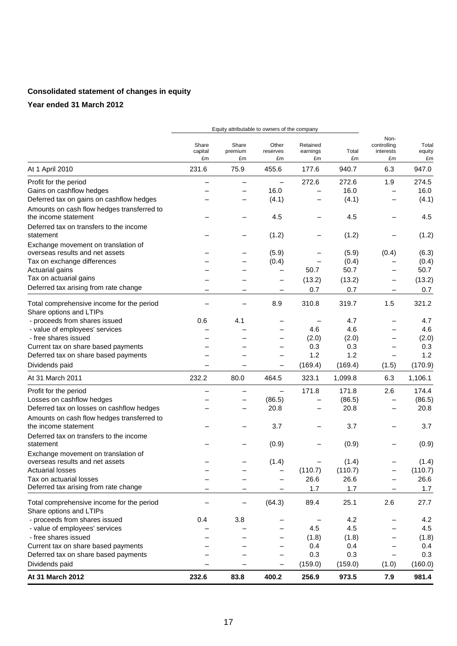# **Consolidated statement of changes in equity**

|                                                                      |                        | Equity attributable to owners of the company |                          |                            |             |                                        |                       |
|----------------------------------------------------------------------|------------------------|----------------------------------------------|--------------------------|----------------------------|-------------|----------------------------------------|-----------------------|
|                                                                      | Share<br>capital<br>£m | Share<br>premium<br>£m                       | Other<br>reserves<br>£m  | Retained<br>earnings<br>£m | Total<br>£m | Non-<br>controlling<br>interests<br>£m | Total<br>equity<br>£m |
| At 1 April 2010                                                      | 231.6                  | 75.9                                         | 455.6                    | 177.6                      | 940.7       | 6.3                                    | 947.0                 |
| Profit for the period                                                |                        |                                              | $\overline{\phantom{0}}$ | 272.6                      | 272.6       | 1.9                                    | 274.5                 |
| Gains on cashflow hedges                                             |                        |                                              | 16.0                     |                            | 16.0        |                                        | 16.0                  |
| Deferred tax on gains on cashflow hedges                             |                        |                                              | (4.1)                    |                            | (4.1)       |                                        | (4.1)                 |
| Amounts on cash flow hedges transferred to<br>the income statement   |                        |                                              | 4.5                      |                            | 4.5         |                                        | 4.5                   |
| Deferred tax on transfers to the income<br>statement                 |                        |                                              | (1.2)                    |                            | (1.2)       |                                        | (1.2)                 |
| Exchange movement on translation of                                  |                        |                                              |                          |                            |             |                                        |                       |
| overseas results and net assets                                      |                        |                                              | (5.9)                    |                            | (5.9)       | (0.4)                                  | (6.3)                 |
| Tax on exchange differences                                          |                        |                                              | (0.4)                    |                            | (0.4)       |                                        | (0.4)                 |
| Actuarial gains                                                      |                        |                                              |                          | 50.7                       | 50.7        | $\overline{\phantom{0}}$               | 50.7                  |
| Tax on actuarial gains                                               |                        |                                              |                          | (13.2)                     | (13.2)      |                                        | (13.2)                |
| Deferred tax arising from rate change                                | -                      |                                              | $\overline{\phantom{m}}$ | 0.7                        | 0.7         | -                                      | 0.7                   |
| Total comprehensive income for the period                            |                        |                                              | 8.9                      | 310.8                      | 319.7       | 1.5                                    | 321.2                 |
| Share options and LTIPs                                              |                        |                                              |                          |                            |             |                                        |                       |
| - proceeds from shares issued                                        | 0.6                    | 4.1                                          |                          |                            | 4.7         |                                        | 4.7                   |
| - value of employees' services                                       |                        |                                              |                          | 4.6                        | 4.6         |                                        | 4.6                   |
| - free shares issued                                                 |                        |                                              |                          | (2.0)                      | (2.0)       | -                                      | (2.0)                 |
| Current tax on share based payments                                  |                        |                                              |                          | 0.3                        | 0.3         |                                        | 0.3                   |
| Deferred tax on share based payments                                 |                        |                                              |                          | 1.2                        | 1.2         | $\overline{\phantom{0}}$               | 1.2                   |
| Dividends paid                                                       |                        |                                              |                          | (169.4)                    | (169.4)     | (1.5)                                  | (170.9)               |
| At 31 March 2011                                                     | 232.2                  | 80.0                                         | 464.5                    | 323.1                      | 1,099.8     | 6.3                                    | 1,106.1               |
| Profit for the period                                                |                        |                                              |                          | 171.8                      | 171.8       | 2.6                                    | 174.4                 |
| Losses on cashflow hedges                                            |                        | -                                            | (86.5)                   |                            | (86.5)      |                                        | (86.5)                |
| Deferred tax on losses on cashflow hedges                            |                        | —                                            | 20.8                     |                            | 20.8        | $\overline{\phantom{0}}$               | 20.8                  |
| Amounts on cash flow hedges transferred to<br>the income statement   |                        |                                              | 3.7                      |                            | 3.7         |                                        | 3.7                   |
| Deferred tax on transfers to the income                              |                        |                                              |                          |                            |             |                                        |                       |
| statement                                                            |                        |                                              | (0.9)                    |                            | (0.9)       | -                                      | (0.9)                 |
| Exchange movement on translation of                                  |                        |                                              |                          |                            |             |                                        |                       |
| overseas results and net assets                                      |                        |                                              | (1.4)                    |                            | (1.4)       |                                        | (1.4)                 |
| <b>Actuarial losses</b>                                              |                        |                                              |                          | (110.7)                    | (110.7)     |                                        | (110.7)               |
| Tax on actuarial losses<br>Deferred tax arising from rate change     |                        |                                              |                          | 26.6                       | 26.6        | $\overline{\phantom{0}}$               | 26.6                  |
|                                                                      |                        |                                              |                          | 1.7                        | 1.7         |                                        | 1.7                   |
| Total comprehensive income for the period<br>Share options and LTIPs |                        | —                                            | (64.3)                   | 89.4                       | 25.1        | 2.6                                    | 27.7                  |
| - proceeds from shares issued                                        | 0.4                    | 3.8                                          |                          |                            | 4.2         |                                        | 4.2                   |
| - value of employees' services                                       |                        |                                              |                          | 4.5                        | 4.5         |                                        | 4.5                   |
| - free shares issued                                                 |                        |                                              |                          | (1.8)                      | (1.8)       | -                                      | (1.8)                 |
| Current tax on share based payments                                  |                        |                                              |                          | 0.4                        | 0.4         |                                        | 0.4                   |
| Deferred tax on share based payments                                 |                        |                                              |                          | 0.3                        | 0.3         | —                                      | 0.3                   |
| Dividends paid                                                       |                        |                                              |                          | (159.0)                    | (159.0)     | (1.0)                                  | (160.0)               |
| At 31 March 2012                                                     | 232.6                  | 83.8                                         | 400.2                    | 256.9                      | 973.5       | 7.9                                    | 981.4                 |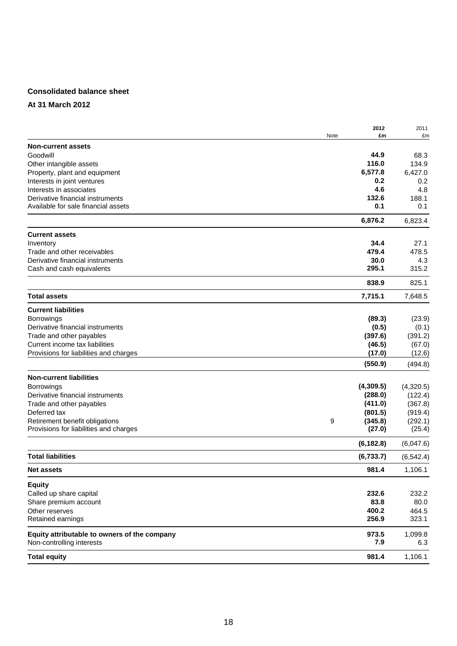### **Consolidated balance sheet**

#### **At 31 March 2012**

|                                              |      | 2012       | 2011       |
|----------------------------------------------|------|------------|------------|
|                                              | Note | £m         | £m         |
| <b>Non-current assets</b>                    |      |            |            |
| Goodwill                                     |      | 44.9       | 68.3       |
| Other intangible assets                      |      | 116.0      | 134.9      |
| Property, plant and equipment                |      | 6,577.8    | 6,427.0    |
| Interests in joint ventures                  |      | 0.2        | 0.2        |
| Interests in associates                      |      | 4.6        | 4.8        |
| Derivative financial instruments             |      | 132.6      | 188.1      |
| Available for sale financial assets          |      | 0.1        | 0.1        |
|                                              |      | 6,876.2    | 6,823.4    |
| <b>Current assets</b>                        |      |            |            |
| Inventory                                    |      | 34.4       | 27.1       |
| Trade and other receivables                  |      | 479.4      | 478.5      |
| Derivative financial instruments             |      | 30.0       | 4.3        |
| Cash and cash equivalents                    |      | 295.1      | 315.2      |
|                                              |      | 838.9      | 825.1      |
| <b>Total assets</b>                          |      | 7,715.1    | 7,648.5    |
| <b>Current liabilities</b>                   |      |            |            |
| Borrowings                                   |      | (89.3)     | (23.9)     |
| Derivative financial instruments             |      | (0.5)      | (0.1)      |
| Trade and other payables                     |      | (397.6)    | (391.2)    |
| Current income tax liabilities               |      | (46.5)     | (67.0)     |
| Provisions for liabilities and charges       |      | (17.0)     | (12.6)     |
|                                              |      | (550.9)    | (494.8)    |
| <b>Non-current liabilities</b>               |      |            |            |
| <b>Borrowings</b>                            |      | (4,309.5)  | (4,320.5)  |
| Derivative financial instruments             |      | (288.0)    | (122.4)    |
| Trade and other payables                     |      | (411.0)    | (367.8)    |
| Deferred tax                                 |      | (801.5)    | (919.4)    |
| Retirement benefit obligations               | 9    | (345.8)    | (292.1)    |
| Provisions for liabilities and charges       |      | (27.0)     | (25.4)     |
|                                              |      | (6, 182.8) | (6,047.6)  |
| <b>Total liabilities</b>                     |      | (6,733.7)  | (6, 542.4) |
| <b>Net assets</b>                            |      | 981.4      | 1,106.1    |
| <b>Equity</b>                                |      |            |            |
| Called up share capital                      |      | 232.6      | 232.2      |
| Share premium account                        |      | 83.8       | 80.0       |
| Other reserves                               |      | 400.2      | 464.5      |
| Retained earnings                            |      | 256.9      | 323.1      |
| Equity attributable to owners of the company |      | 973.5      | 1,099.8    |
| Non-controlling interests                    |      | 7.9        | 6.3        |
| <b>Total equity</b>                          |      | 981.4      | 1,106.1    |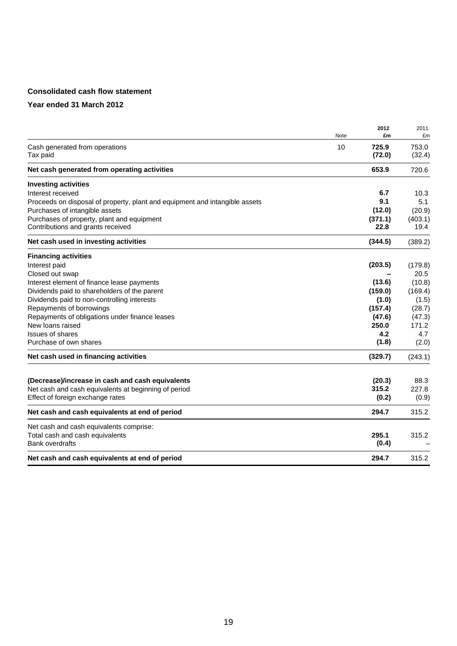## **Consolidated cash flow statement**

|                                                                             | Note | 2012<br>£m      | 2011<br>£m      |
|-----------------------------------------------------------------------------|------|-----------------|-----------------|
| Cash generated from operations<br>Tax paid                                  | 10   | 725.9<br>(72.0) | 753.0<br>(32.4) |
| Net cash generated from operating activities                                |      | 653.9           | 720.6           |
| <b>Investing activities</b>                                                 |      |                 |                 |
| Interest received                                                           |      | 6.7             | 10.3            |
| Proceeds on disposal of property, plant and equipment and intangible assets |      | 9.1             | 5.1             |
| Purchases of intangible assets                                              |      | (12.0)          | (20.9)          |
| Purchases of property, plant and equipment                                  |      | (371.1)         | (403.1)         |
| Contributions and grants received                                           |      | 22.8            | 19.4            |
| Net cash used in investing activities                                       |      | (344.5)         | (389.2)         |
| <b>Financing activities</b>                                                 |      |                 |                 |
| Interest paid                                                               |      | (203.5)         | (179.8)         |
| Closed out swap                                                             |      |                 | 20.5            |
| Interest element of finance lease payments                                  |      | (13.6)          | (10.8)          |
| Dividends paid to shareholders of the parent                                |      | (159.0)         | (169.4)         |
| Dividends paid to non-controlling interests                                 |      | (1.0)           | (1.5)           |
| Repayments of borrowings                                                    |      | (157.4)         | (28.7)          |
| Repayments of obligations under finance leases                              |      | (47.6)          | (47.3)          |
| New loans raised                                                            |      | 250.0           | 171.2           |
| <b>Issues of shares</b>                                                     |      | 4.2             | 4.7             |
| Purchase of own shares                                                      |      | (1.8)           | (2.0)           |
| Net cash used in financing activities                                       |      | (329.7)         | (243.1)         |
| (Decrease)/increase in cash and cash equivalents                            |      | (20.3)          | 88.3            |
| Net cash and cash equivalents at beginning of period                        |      | 315.2           | 227.8           |
| Effect of foreign exchange rates                                            |      | (0.2)           | (0.9)           |
| Net cash and cash equivalents at end of period                              |      | 294.7           | 315.2           |
| Net cash and cash equivalents comprise:                                     |      |                 |                 |
| Total cash and cash equivalents<br><b>Bank overdrafts</b>                   |      | 295.1<br>(0.4)  | 315.2           |
| Net cash and cash equivalents at end of period                              |      | 294.7           | 315.2           |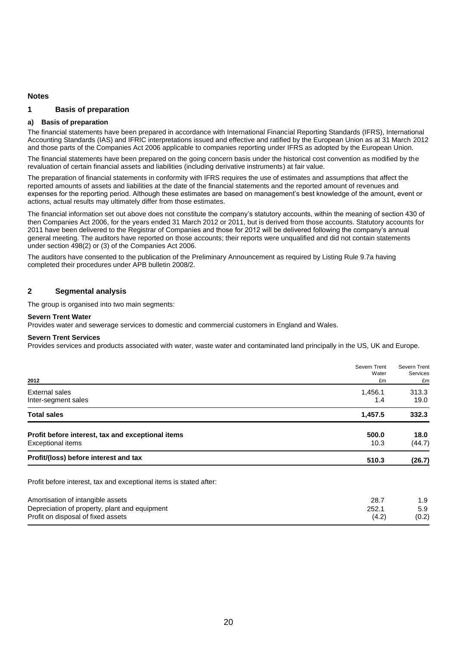#### **Notes**

#### **1 Basis of preparation**

#### **a) Basis of preparation**

The financial statements have been prepared in accordance with International Financial Reporting Standards (IFRS), International Accounting Standards (IAS) and IFRIC interpretations issued and effective and ratified by the European Union as at 31 March 2012 and those parts of the Companies Act 2006 applicable to companies reporting under IFRS as adopted by the European Union.

The financial statements have been prepared on the going concern basis under the historical cost convention as modified by the revaluation of certain financial assets and liabilities (including derivative instruments) at fair value.

The preparation of financial statements in conformity with IFRS requires the use of estimates and assumptions that affect the reported amounts of assets and liabilities at the date of the financial statements and the reported amount of revenues and expenses for the reporting period. Although these estimates are based on management's best knowledge of the amount, event or actions, actual results may ultimately differ from those estimates.

The financial information set out above does not constitute the company's statutory accounts, within the meaning of section 430 of then Companies Act 2006, for the years ended 31 March 2012 or 2011, but is derived from those accounts. Statutory accounts for 2011 have been delivered to the Registrar of Companies and those for 2012 will be delivered following the company's annual general meeting. The auditors have reported on those accounts; their reports were unqualified and did not contain statements under section 498(2) or (3) of the Companies Act 2006.

The auditors have consented to the publication of the Preliminary Announcement as required by Listing Rule 9.7a having completed their procedures under APB bulletin 2008/2.

#### **2 Segmental analysis**

The group is organised into two main segments:

#### **Severn Trent Water**

Provides water and sewerage services to domestic and commercial customers in England and Wales.

#### **Severn Trent Services**

Provides services and products associated with water, waste water and contaminated land principally in the US, UK and Europe.

|                                                                               | Severn Trent<br>Water | Severn Trent<br><b>Services</b> |
|-------------------------------------------------------------------------------|-----------------------|---------------------------------|
| 2012                                                                          | £m                    | £m                              |
| External sales                                                                | 1,456.1               | 313.3                           |
| Inter-segment sales                                                           | 1.4                   | 19.0                            |
| <b>Total sales</b>                                                            | 1,457.5               | 332.3                           |
| Profit before interest, tax and exceptional items<br><b>Exceptional items</b> | 500.0<br>10.3         | 18.0<br>(44.7)                  |
| Profit/(loss) before interest and tax                                         | 510.3                 | (26.7)                          |
| Profit before interest, tax and exceptional items is stated after:            |                       |                                 |
| Amortisation of intangible assets                                             | 28.7                  | 1.9                             |
| Depreciation of property, plant and equipment                                 | 252.1                 | 5.9                             |
| Profit on disposal of fixed assets                                            | (4.2)                 | (0.2)                           |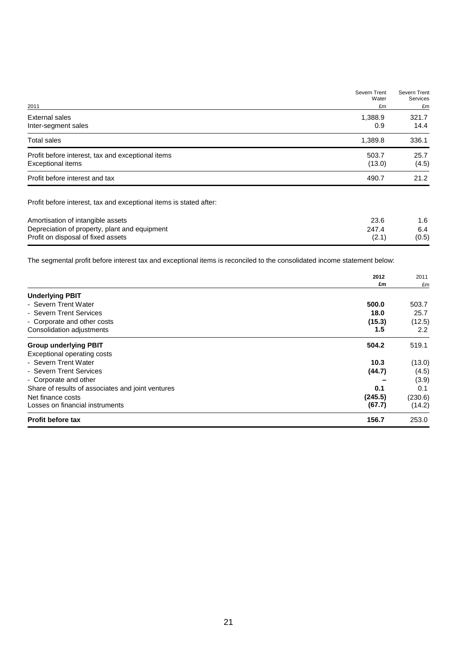| 2011                                                                          | Severn Trent<br>Water<br>£m | Severn Trent<br>Services<br>£m |
|-------------------------------------------------------------------------------|-----------------------------|--------------------------------|
| External sales<br>Inter-segment sales                                         | 1,388.9<br>0.9              | 321.7<br>14.4                  |
| <b>Total sales</b>                                                            | 1,389.8                     | 336.1                          |
| Profit before interest, tax and exceptional items<br><b>Exceptional items</b> | 503.7<br>(13.0)             | 25.7<br>(4.5)                  |
| Profit before interest and tax                                                | 490.7                       | 21.2                           |

Profit before interest, tax and exceptional items is stated after:

| Amortisation of intangible assets             | 23.6  | 1.6   |
|-----------------------------------------------|-------|-------|
| Depreciation of property, plant and equipment | 247.4 | 6.4   |
| Profit on disposal of fixed assets            | (2.1) | (0.5) |
|                                               |       |       |

The segmental profit before interest tax and exceptional items is reconciled to the consolidated income statement below:

|                                                   | 2012    | 2011<br>£m |
|---------------------------------------------------|---------|------------|
|                                                   | £m      |            |
| <b>Underlying PBIT</b>                            |         |            |
| - Severn Trent Water                              | 500.0   | 503.7      |
| - Severn Trent Services                           | 18.0    | 25.7       |
| - Corporate and other costs                       | (15.3)  | (12.5)     |
| Consolidation adjustments                         | 1.5     | 2.2        |
| <b>Group underlying PBIT</b>                      | 504.2   | 519.1      |
| Exceptional operating costs                       |         |            |
| - Severn Trent Water                              | 10.3    | (13.0)     |
| - Severn Trent Services                           | (44.7)  | (4.5)      |
| - Corporate and other                             |         | (3.9)      |
| Share of results of associates and joint ventures | 0.1     | 0.1        |
| Net finance costs                                 | (245.5) | (230.6)    |
| Losses on financial instruments                   | (67.7)  | (14.2)     |
| <b>Profit before tax</b>                          | 156.7   | 253.0      |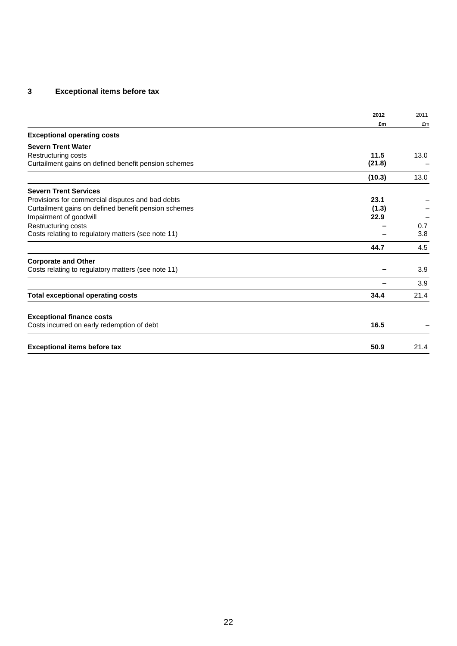# **3 Exceptional items before tax**

|                                                      | 2012   | 2011 |
|------------------------------------------------------|--------|------|
|                                                      | £m     | £m   |
| <b>Exceptional operating costs</b>                   |        |      |
| <b>Severn Trent Water</b>                            |        |      |
| Restructuring costs                                  | 11.5   | 13.0 |
| Curtailment gains on defined benefit pension schemes | (21.8) |      |
|                                                      | (10.3) | 13.0 |
| <b>Severn Trent Services</b>                         |        |      |
| Provisions for commercial disputes and bad debts     | 23.1   |      |
| Curtailment gains on defined benefit pension schemes | (1.3)  |      |
| Impairment of goodwill                               | 22.9   |      |
| Restructuring costs                                  |        | 0.7  |
| Costs relating to regulatory matters (see note 11)   |        | 3.8  |
|                                                      | 44.7   | 4.5  |
| <b>Corporate and Other</b>                           |        |      |
| Costs relating to regulatory matters (see note 11)   |        | 3.9  |
|                                                      |        | 3.9  |
| <b>Total exceptional operating costs</b>             | 34.4   | 21.4 |
|                                                      |        |      |
| <b>Exceptional finance costs</b>                     |        |      |
| Costs incurred on early redemption of debt           | 16.5   |      |
| <b>Exceptional items before tax</b>                  | 50.9   | 21.4 |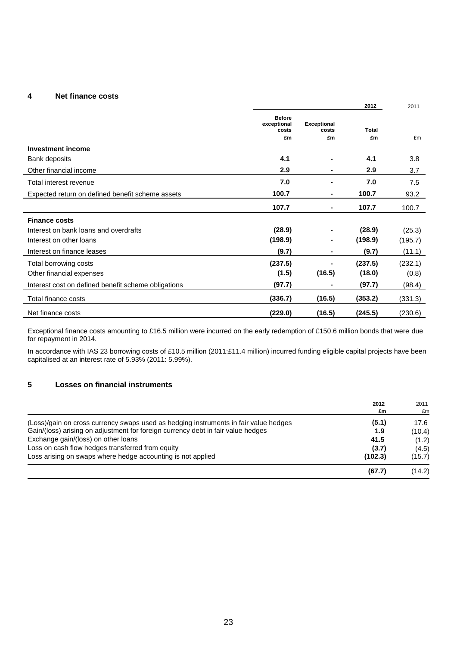#### **4 Net finance costs**

|                                                     |                                             |                                   | 2012               | 2011    |
|-----------------------------------------------------|---------------------------------------------|-----------------------------------|--------------------|---------|
|                                                     | <b>Before</b><br>exceptional<br>costs<br>£m | <b>Exceptional</b><br>costs<br>£m | <b>Total</b><br>£m | £m      |
| <b>Investment income</b>                            |                                             |                                   |                    |         |
| Bank deposits                                       | 4.1                                         |                                   | 4.1                | 3.8     |
| Other financial income                              | 2.9                                         | $\blacksquare$                    | 2.9                | 3.7     |
| Total interest revenue                              | 7.0                                         | $\blacksquare$                    | 7.0                | 7.5     |
| Expected return on defined benefit scheme assets    | 100.7                                       | $\blacksquare$                    | 100.7              | 93.2    |
|                                                     | 107.7                                       | $\blacksquare$                    | 107.7              | 100.7   |
| <b>Finance costs</b>                                |                                             |                                   |                    |         |
| Interest on bank loans and overdrafts               | (28.9)                                      |                                   | (28.9)             | (25.3)  |
| Interest on other loans                             | (198.9)                                     | $\blacksquare$                    | (198.9)            | (195.7) |
| Interest on finance leases                          | (9.7)                                       | $\blacksquare$                    | (9.7)              | (11.1)  |
| Total borrowing costs                               | (237.5)                                     |                                   | (237.5)            | (232.1) |
| Other financial expenses                            | (1.5)                                       | (16.5)                            | (18.0)             | (0.8)   |
| Interest cost on defined benefit scheme obligations | (97.7)                                      | -                                 | (97.7)             | (98.4)  |
| Total finance costs                                 | (336.7)                                     | (16.5)                            | (353.2)            | (331.3) |
| Net finance costs                                   | (229.0)                                     | (16.5)                            | (245.5)            | (230.6) |

Exceptional finance costs amounting to £16.5 million were incurred on the early redemption of £150.6 million bonds that were due for repayment in 2014.

In accordance with IAS 23 borrowing costs of £10.5 million (2011:£11.4 million) incurred funding eligible capital projects have been capitalised at an interest rate of 5.93% (2011: 5.99%).

#### **5 Losses on financial instruments**

|                                                                                      | 2012<br>£m | 2011<br>£m |
|--------------------------------------------------------------------------------------|------------|------------|
| (Loss)/gain on cross currency swaps used as hedging instruments in fair value hedges | (5.1)      | 17.6       |
| Gain/(loss) arising on adjustment for foreign currency debt in fair value hedges     | 1.9        | (10.4)     |
| Exchange gain/(loss) on other loans                                                  | 41.5       | (1.2)      |
| Loss on cash flow hedges transferred from equity                                     | (3.7)      | (4.5)      |
| Loss arising on swaps where hedge accounting is not applied                          | (102.3)    | (15.7)     |
|                                                                                      | (67.7)     | (14.2)     |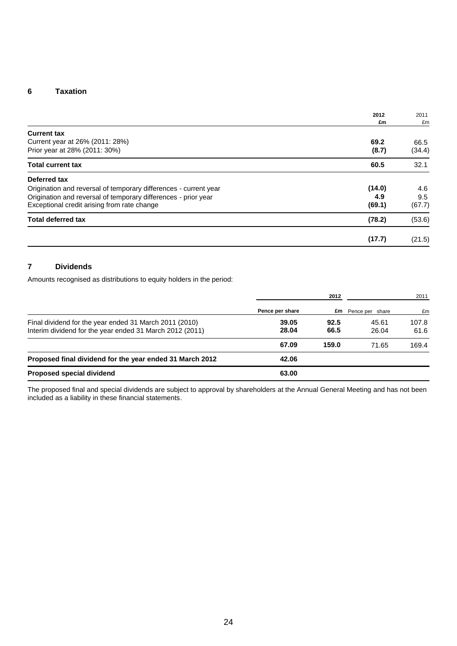#### **6 Taxation**

|                                                                  | 2012   | 2011   |
|------------------------------------------------------------------|--------|--------|
|                                                                  | £m     | £m     |
| <b>Current tax</b>                                               |        |        |
| Current year at 26% (2011: 28%)                                  | 69.2   | 66.5   |
| Prior year at 28% (2011: 30%)                                    | (8.7)  | (34.4) |
| <b>Total current tax</b>                                         | 60.5   | 32.1   |
| Deferred tax                                                     |        |        |
| Origination and reversal of temporary differences - current year | (14.0) | 4.6    |
| Origination and reversal of temporary differences - prior year   | 4.9    | 9.5    |
| Exceptional credit arising from rate change                      | (69.1) | (67.7) |
| <b>Total deferred tax</b>                                        | (78.2) | (53.6) |
|                                                                  | (17.7) | (21.5) |

# **7 Dividends**

Amounts recognised as distributions to equity holders in the period:

|                                                                                                                    |                 | 2012         |                           | 2011          |
|--------------------------------------------------------------------------------------------------------------------|-----------------|--------------|---------------------------|---------------|
|                                                                                                                    | Pence per share |              | <b>£m</b> Pence per share | £m            |
| Final dividend for the year ended 31 March 2011 (2010)<br>Interim dividend for the year ended 31 March 2012 (2011) | 39.05<br>28.04  | 92.5<br>66.5 | 45.61<br>26.04            | 107.8<br>61.6 |
|                                                                                                                    | 67.09           | 159.0        | 71.65                     | 169.4         |
| Proposed final dividend for the year ended 31 March 2012                                                           | 42.06           |              |                           |               |
| Proposed special dividend                                                                                          | 63.00           |              |                           |               |

The proposed final and special dividends are subject to approval by shareholders at the Annual General Meeting and has not been included as a liability in these financial statements.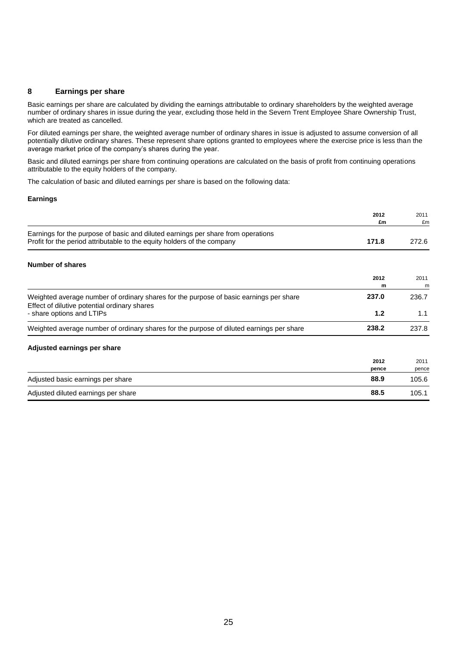#### **8 Earnings per share**

Basic earnings per share are calculated by dividing the earnings attributable to ordinary shareholders by the weighted average number of ordinary shares in issue during the year, excluding those held in the Severn Trent Employee Share Ownership Trust, which are treated as cancelled.

For diluted earnings per share, the weighted average number of ordinary shares in issue is adjusted to assume conversion of all potentially dilutive ordinary shares. These represent share options granted to employees where the exercise price is less than the average market price of the company's shares during the year.

Basic and diluted earnings per share from continuing operations are calculated on the basis of profit from continuing operations attributable to the equity holders of the company.

The calculation of basic and diluted earnings per share is based on the following data:

#### **Earnings**

|                                                                                                                                                             | 2012<br>£m    | 2011<br>£m    |
|-------------------------------------------------------------------------------------------------------------------------------------------------------------|---------------|---------------|
| Earnings for the purpose of basic and diluted earnings per share from operations<br>Profit for the period attributable to the equity holders of the company | 171.8         | 272.6         |
| Number of shares                                                                                                                                            |               |               |
|                                                                                                                                                             | 2012<br>m     | 2011<br>m     |
| Weighted average number of ordinary shares for the purpose of basic earnings per share<br>Effect of dilutive potential ordinary shares                      | 237.0         | 236.7         |
| - share options and LTIPs                                                                                                                                   | 1.2           | 1.1           |
| Weighted average number of ordinary shares for the purpose of diluted earnings per share                                                                    | 238.2         | 237.8         |
| Adjusted earnings per share                                                                                                                                 |               |               |
|                                                                                                                                                             | 2012<br>pence | 2011<br>pence |
| Adjusted basic earnings per share                                                                                                                           | 88.9          | 105.6         |
| Adjusted diluted earnings per share                                                                                                                         | 88.5          | 105.1         |
|                                                                                                                                                             |               |               |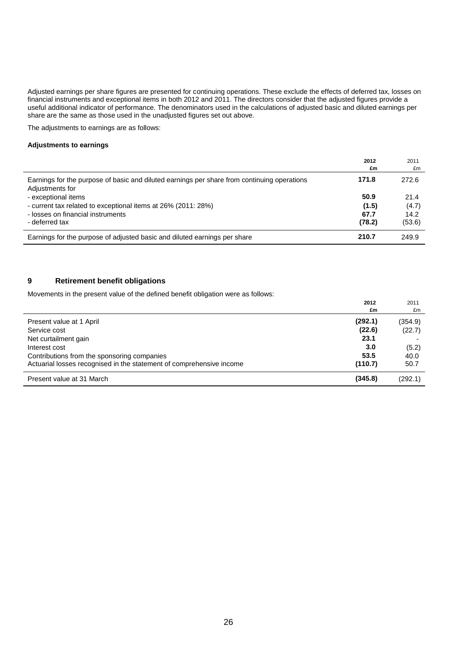Adjusted earnings per share figures are presented for continuing operations. These exclude the effects of deferred tax, losses on financial instruments and exceptional items in both 2012 and 2011. The directors consider that the adjusted figures provide a useful additional indicator of performance. The denominators used in the calculations of adjusted basic and diluted earnings per share are the same as those used in the unadjusted figures set out above.

The adjustments to earnings are as follows:

#### **Adjustments to earnings**

|                                                                                                                | 2012   | 2011   |
|----------------------------------------------------------------------------------------------------------------|--------|--------|
|                                                                                                                | £m     | £m     |
| Earnings for the purpose of basic and diluted earnings per share from continuing operations<br>Adjustments for | 171.8  | 272.6  |
| - exceptional items                                                                                            | 50.9   | 21.4   |
| - current tax related to exceptional items at 26% (2011: 28%)                                                  | (1.5)  | (4.7)  |
| - losses on financial instruments                                                                              | 67.7   | 14.2   |
| - deferred tax                                                                                                 | (78.2) | (53.6) |
| Earnings for the purpose of adjusted basic and diluted earnings per share                                      | 210.7  | 249.9  |

#### **9 Retirement benefit obligations**

Movements in the present value of the defined benefit obligation were as follows:

|                                                                      | 2012    | 2011    |
|----------------------------------------------------------------------|---------|---------|
|                                                                      | £m      | £m      |
| Present value at 1 April                                             | (292.1) | (354.9) |
| Service cost                                                         | (22.6)  | (22.7)  |
| Net curtailment gain                                                 | 23.1    |         |
| Interest cost                                                        | 3.0     | (5.2)   |
| Contributions from the sponsoring companies                          | 53.5    | 40.0    |
| Actuarial losses recognised in the statement of comprehensive income | (110.7) | 50.7    |
| Present value at 31 March                                            | (345.8) | (292.1) |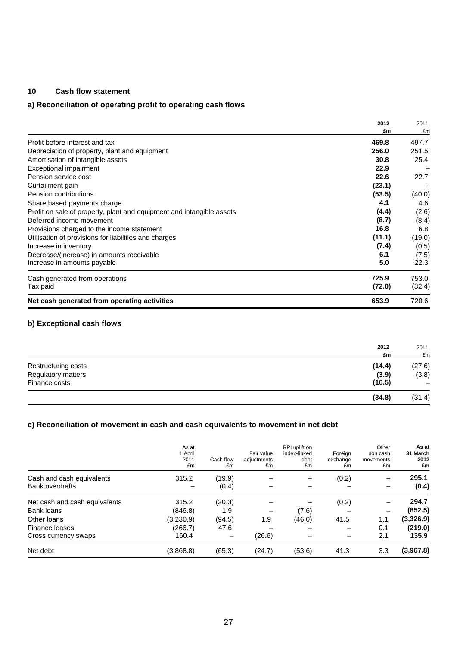### **10 Cash flow statement**

# **a) Reconciliation of operating profit to operating cash flows**

|                                                                       | 2012   | 2011   |
|-----------------------------------------------------------------------|--------|--------|
|                                                                       | £m     | £m     |
| Profit before interest and tax                                        | 469.8  | 497.7  |
| Depreciation of property, plant and equipment                         | 256.0  | 251.5  |
| Amortisation of intangible assets                                     | 30.8   | 25.4   |
| Exceptional impairment                                                | 22.9   |        |
| Pension service cost                                                  | 22.6   | 22.7   |
| Curtailment gain                                                      | (23.1) |        |
| Pension contributions                                                 | (53.5) | (40.0) |
| Share based payments charge                                           | 4.1    | 4.6    |
| Profit on sale of property, plant and equipment and intangible assets | (4.4)  | (2.6)  |
| Deferred income movement                                              | (8.7)  | (8.4)  |
| Provisions charged to the income statement                            | 16.8   | 6.8    |
| Utilisation of provisions for liabilities and charges                 | (11.1) | (19.0) |
| Increase in inventory                                                 | (7.4)  | (0.5)  |
| Decrease/(increase) in amounts receivable                             | 6.1    | (7.5)  |
| Increase in amounts payable                                           | 5.0    | 22.3   |
| Cash generated from operations                                        | 725.9  | 753.0  |
| Tax paid                                                              | (72.0) | (32.4) |
| Net cash generated from operating activities                          | 653.9  | 720.6  |

#### **b) Exceptional cash flows**

|                     | 2012<br>£m | 2011<br>£m                   |
|---------------------|------------|------------------------------|
| Restructuring costs | (14.4)     | (27.6)                       |
| Regulatory matters  | (3.9)      | (3.8)                        |
| Finance costs       | (16.5)     | $\qquad \qquad \blacksquare$ |
|                     | (34.8)     | (31.4)                       |

#### **c) Reconciliation of movement in cash and cash equivalents to movement in net debt**

|                                                     | As at<br>1 April<br>2011<br>£m | Cash flow<br>£m | Fair value<br>adjustments<br>£m | RPI uplift on<br>index-linked<br>debt<br>£m | Foreign<br>exchange<br>£m | Other<br>non cash<br>movements<br>£m | As at<br>31 March<br>2012<br>£m |
|-----------------------------------------------------|--------------------------------|-----------------|---------------------------------|---------------------------------------------|---------------------------|--------------------------------------|---------------------------------|
| Cash and cash equivalents<br><b>Bank overdrafts</b> | 315.2                          | (19.9)<br>(0.4) |                                 |                                             | (0.2)                     |                                      | 295.1<br>(0.4)                  |
| Net cash and cash equivalents                       | 315.2                          | (20.3)          |                                 |                                             | (0.2)                     |                                      | 294.7                           |
| <b>Bank loans</b>                                   | (846.8)                        | 1.9             |                                 | (7.6)                                       |                           |                                      | (852.5)                         |
| Other loans                                         | (3,230.9)                      | (94.5)          | 1.9                             | (46.0)                                      | 41.5                      | 1.1                                  | (3,326.9)                       |
| Finance leases                                      | (266.7)                        | 47.6            |                                 |                                             |                           | 0.1                                  | (219.0)                         |
| Cross currency swaps                                | 160.4                          |                 | (26.6)                          |                                             |                           | 2.1                                  | 135.9                           |
| Net debt                                            | (3,868.8)                      | (65.3)          | (24.7)                          | (53.6)                                      | 41.3                      | 3.3                                  | (3,967.8)                       |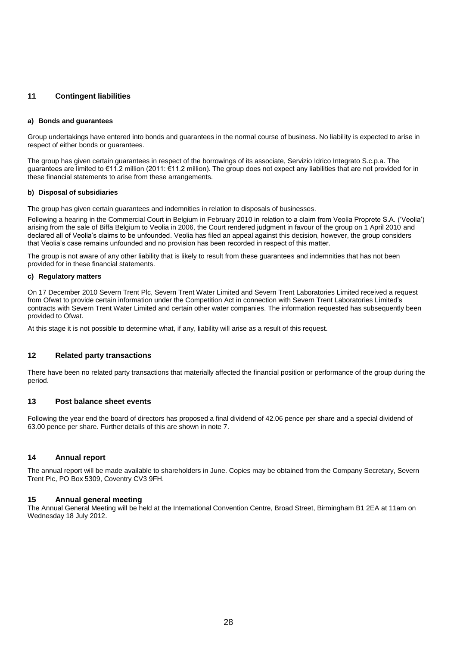#### **11 Contingent liabilities**

#### **a) Bonds and guarantees**

Group undertakings have entered into bonds and guarantees in the normal course of business. No liability is expected to arise in respect of either bonds or guarantees.

The group has given certain guarantees in respect of the borrowings of its associate, Servizio Idrico Integrato S.c.p.a. The guarantees are limited to €11.2 million (2011: €11.2 million). The group does not expect any liabilities that are not provided for in these financial statements to arise from these arrangements.

#### **b) Disposal of subsidiaries**

The group has given certain guarantees and indemnities in relation to disposals of businesses.

Following a hearing in the Commercial Court in Belgium in February 2010 in relation to a claim from Veolia Proprete S.A. ('Veolia') arising from the sale of Biffa Belgium to Veolia in 2006, the Court rendered judgment in favour of the group on 1 April 2010 and declared all of Veolia's claims to be unfounded. Veolia has filed an appeal against this decision, however, the group considers that Veolia's case remains unfounded and no provision has been recorded in respect of this matter.

The group is not aware of any other liability that is likely to result from these guarantees and indemnities that has not been provided for in these financial statements.

#### **c) Regulatory matters**

On 17 December 2010 Severn Trent Plc, Severn Trent Water Limited and Severn Trent Laboratories Limited received a request from Ofwat to provide certain information under the Competition Act in connection with Severn Trent Laboratories Limited's contracts with Severn Trent Water Limited and certain other water companies. The information requested has subsequently been provided to Ofwat.

At this stage it is not possible to determine what, if any, liability will arise as a result of this request.

#### **12 Related party transactions**

There have been no related party transactions that materially affected the financial position or performance of the group during the period.

#### **13 Post balance sheet events**

Following the year end the board of directors has proposed a final dividend of 42.06 pence per share and a special dividend of 63.00 pence per share. Further details of this are shown in note 7.

#### **14 Annual report**

The annual report will be made available to shareholders in June. Copies may be obtained from the Company Secretary, Severn Trent Plc, PO Box 5309, Coventry CV3 9FH.

#### **15 Annual general meeting**

The Annual General Meeting will be held at the International Convention Centre, Broad Street, Birmingham B1 2EA at 11am on Wednesday 18 July 2012.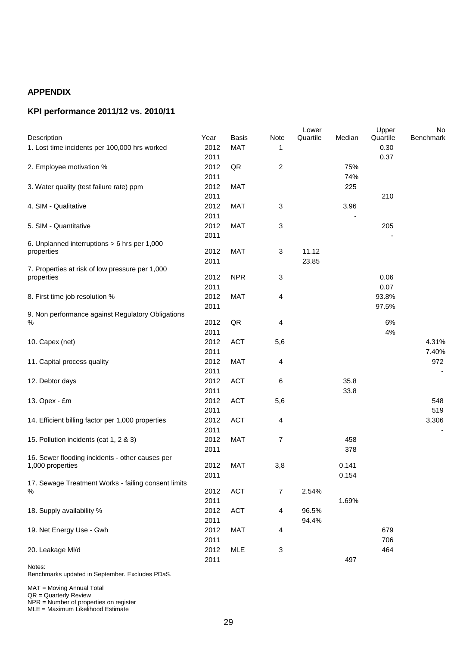# **APPENDIX**

# **KPI performance 2011/12 vs. 2010/11**

|                                                          |      |            |                | Lower    |        | Upper    | No               |
|----------------------------------------------------------|------|------------|----------------|----------|--------|----------|------------------|
| Description                                              | Year | Basis      | Note           | Quartile | Median | Quartile | <b>Benchmark</b> |
| 1. Lost time incidents per 100,000 hrs worked            | 2012 | <b>MAT</b> | 1              |          |        | 0.30     |                  |
|                                                          | 2011 |            |                |          |        | 0.37     |                  |
| 2. Employee motivation %                                 | 2012 | QR         | $\overline{2}$ |          | 75%    |          |                  |
|                                                          | 2011 |            |                |          | 74%    |          |                  |
| 3. Water quality (test failure rate) ppm                 | 2012 | <b>MAT</b> |                |          | 225    |          |                  |
|                                                          | 2011 |            |                |          |        | 210      |                  |
| 4. SIM - Qualitative                                     | 2012 | <b>MAT</b> | $\mathbf{3}$   |          | 3.96   |          |                  |
|                                                          | 2011 |            |                |          |        |          |                  |
| 5. SIM - Quantitative                                    | 2012 | <b>MAT</b> | $\mathbf{3}$   |          |        | 205      |                  |
|                                                          | 2011 |            |                |          |        |          |                  |
| 6. Unplanned interruptions > 6 hrs per 1,000             |      | <b>MAT</b> | $\mathbf{3}$   | 11.12    |        |          |                  |
| properties                                               | 2012 |            |                |          |        |          |                  |
| 7. Properties at risk of low pressure per 1,000          | 2011 |            |                | 23.85    |        |          |                  |
| properties                                               | 2012 | <b>NPR</b> | $\sqrt{3}$     |          |        | 0.06     |                  |
|                                                          | 2011 |            |                |          |        | 0.07     |                  |
| 8. First time job resolution %                           | 2012 | MAT        | 4              |          |        | 93.8%    |                  |
|                                                          | 2011 |            |                |          |        | 97.5%    |                  |
| 9. Non performance against Regulatory Obligations        |      |            |                |          |        |          |                  |
| $\%$                                                     | 2012 | QR         | 4              |          |        | $6\%$    |                  |
|                                                          | 2011 |            |                |          |        | 4%       |                  |
| 10. Capex (net)                                          | 2012 | <b>ACT</b> | 5,6            |          |        |          | 4.31%            |
|                                                          | 2011 |            |                |          |        |          | 7.40%            |
| 11. Capital process quality                              | 2012 | <b>MAT</b> | 4              |          |        |          | 972              |
|                                                          | 2011 |            |                |          |        |          |                  |
| 12. Debtor days                                          | 2012 | <b>ACT</b> | 6              |          | 35.8   |          |                  |
|                                                          | 2011 |            |                |          | 33.8   |          |                  |
| 13. Opex - £m                                            | 2012 | <b>ACT</b> | 5,6            |          |        |          | 548              |
|                                                          | 2011 |            |                |          |        |          | 519              |
| 14. Efficient billing factor per 1,000 properties        | 2012 | <b>ACT</b> | 4              |          |        |          | 3,306            |
|                                                          | 2011 |            |                |          |        |          |                  |
| 15. Pollution incidents (cat 1, 2 & 3)                   | 2012 | <b>MAT</b> | 7              |          | 458    |          |                  |
|                                                          | 2011 |            |                |          | 378    |          |                  |
| 16. Sewer flooding incidents - other causes per          |      |            |                |          |        |          |                  |
| 1,000 properties                                         | 2012 | <b>MAT</b> | 3,8            |          | 0.141  |          |                  |
|                                                          | 2011 |            |                |          | 0.154  |          |                  |
| 17. Sewage Treatment Works - failing consent limits<br>% | 2012 | <b>ACT</b> | 7              | 2.54%    |        |          |                  |
|                                                          | 2011 |            |                |          | 1.69%  |          |                  |
|                                                          |      |            |                |          |        |          |                  |
| 18. Supply availability %                                | 2012 | ACT        | $\overline{4}$ | 96.5%    |        |          |                  |
|                                                          | 2011 |            |                | 94.4%    |        |          |                  |
| 19. Net Energy Use - Gwh                                 | 2012 | <b>MAT</b> | 4              |          |        | 679      |                  |
|                                                          | 2011 |            |                |          |        | 706      |                  |
| 20. Leakage MI/d                                         | 2012 | <b>MLE</b> | 3              |          |        | 464      |                  |
| Notes:                                                   | 2011 |            |                |          | 497    |          |                  |
|                                                          |      |            |                |          |        |          |                  |

Benchmarks updated in September. Excludes PDaS.

MAT = Moving Annual Total

QR = Quarterly Review

NPR = Number of properties on register

MLE = Maximum Likelihood Estimate